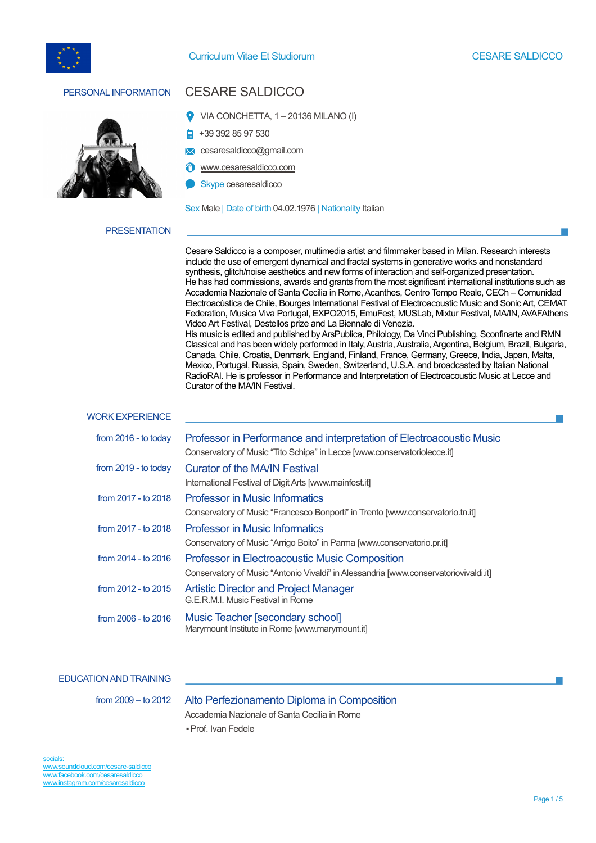



# PERSONAL INFORMATION CESARE SALDICCO

- VIA CONCHETTA, 1 20136 MILANO (I)
- +39 392 85 97 530
- **x** cesaresaldicco@gmail.com
- www.cesaresaldicco.com
- Skype cesaresaldicco

Sex Male | Date of birth 04.02.1976 | Nationality Italian

### **PRESENTATION**

Cesare Saldicco is a composer, multimedia artist and filmmaker based in Milan. Research interests include the use of emergent dynamical and fractal systems in generative works and nonstandard synthesis, glitch/noise aesthetics and new forms of interaction and self-organized presentation. He has had commissions, awards and grants from the most significant international institutions such as Accademia Nazionale of Santa Cecilia in Rome, Acanthes, Centro Tempo Reale, CECh – Comunidad Electroacùstica de Chile, Bourges International Festival of Electroacoustic Music and Sonic Art, CEMAT Federation, Musica Viva Portugal, EXPO2015, EmuFest, MUSLab, Mixtur Festival, MA/IN,AVAFAthens Video Art Festival, Destellos prize and La Biennale di Venezia. His music is edited and published by ArsPublica, Philology, Da Vinci Publishing, Sconfinarte and RMN Classical and has been widely performed in Italy, Austria, Australia, Argentina, Belgium, Brazil, Bulgaria, Canada, Chile, Croatia, Denmark, England, Finland, France, Germany, Greece, India, Japan, Malta,

Mexico, Portugal, Russia, Spain, Sweden, Switzerland, U.S.A. and broadcasted by Italian National RadioRAI. He is professor in Performance and Interpretation of Electroacoustic Music at Lecce and Curator of the MA/IN Festival.

#### WORK EXPERIENCE

| from 2016 - to today    | Professor in Performance and interpretation of Electroacoustic Music<br>Conservatory of Music "Tito Schipa" in Lecce [www.conservatoriolecce.it] |
|-------------------------|--------------------------------------------------------------------------------------------------------------------------------------------------|
| from $2019$ - to today  | <b>Curator of the MA/IN Festival</b><br>International Festival of Digit Arts [www.mainfest.it]                                                   |
| from 2017 - to 2018     | <b>Professor in Music Informatics</b><br>Conservatory of Music "Francesco Bonporti" in Trento [www.conservatorio.tn.it]                          |
| from 2017 - to 2018     | <b>Professor in Music Informatics</b><br>Conservatory of Music "Arrigo Boito" in Parma [www.conservatorio.pr.it]                                 |
| from $2014 -$ to $2016$ | <b>Professor in Electroacoustic Music Composition</b><br>Conservatory of Music "Antonio Vivaldi" in Alessandria [www.conservatoriovivaldi.it]    |
| from $2012 -$ to $2015$ | <b>Artistic Director and Project Manager</b><br>G.E.R.M.I. Music Festival in Rome                                                                |
| from 2006 - to 2016     | Music Teacher [secondary school]<br>Marymount Institute in Rome [www.marymount.it]                                                               |

### EDUCATION AND TRAINING

from 2009 – to 2012 Alto Perfezionamento Diploma in Composition Accademia Nazionale of Santa Cecilia in Rome ▪Prof. Ivan Fedele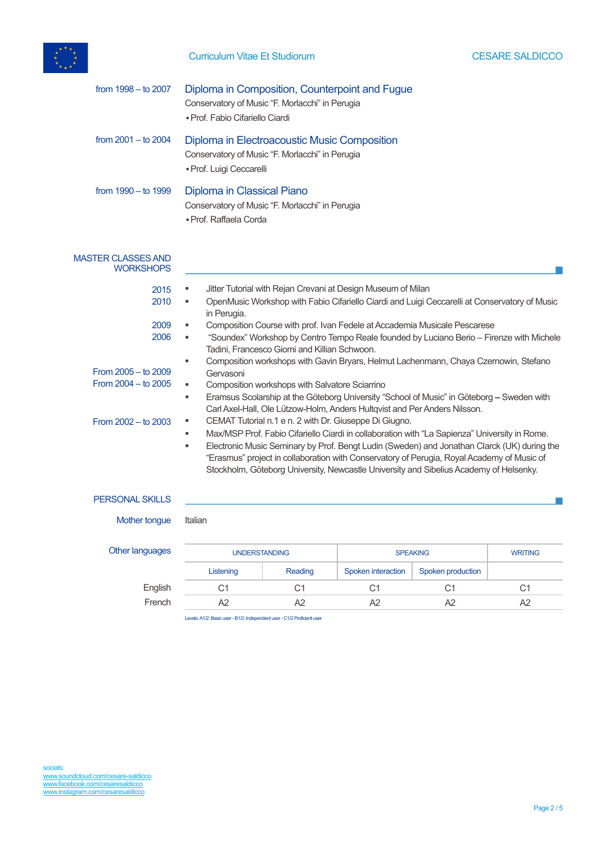

## Curriculum Vitae Et Studiorum **CESARE SALDICCO**

| from $1998 -$ to $2007$                        | Diploma in Composition, Counterpoint and Fugue<br>Conservatory of Music "F. Morlacchi" in Perugia<br>· Prof. Fabio Cifariello Ciardi                                                                                                                                                                                                                                                                                                                          |
|------------------------------------------------|---------------------------------------------------------------------------------------------------------------------------------------------------------------------------------------------------------------------------------------------------------------------------------------------------------------------------------------------------------------------------------------------------------------------------------------------------------------|
| from $2001 -$ to $2004$                        | Diploma in Electroacoustic Music Composition<br>Conservatory of Music "F. Morlacchi" in Perugia<br>· Prof. Luigi Ceccarelli                                                                                                                                                                                                                                                                                                                                   |
| from $1990 -$ to $1999$                        | Diploma in Classical Piano<br>Conservatory of Music "F. Morlacchi" in Perugia<br>· Prof. Raffaela Corda                                                                                                                                                                                                                                                                                                                                                       |
| <b>MASTER CLASSES AND</b><br><b>WORKSHOPS</b>  |                                                                                                                                                                                                                                                                                                                                                                                                                                                               |
| 2015<br>2010<br>2009                           | Jitter Tutorial with Rejan Crevani at Design Museum of Milan<br>٠<br>OpenMusic Workshop with Fabio Cifariello Ciardi and Luigi Ceccarelli at Conservatory of Music<br>٠<br>in Perugia.<br>Composition Course with prof. Ivan Fedele at Accademia Musicale Pescarese                                                                                                                                                                                           |
| 2006                                           | "Soundex" Workshop by Centro Tempo Reale founded by Luciano Berio - Firenze with Michele<br>٠<br>Tadini, Francesco Giomi and Killian Schwoon.<br>Composition workshops with Gavin Bryars, Helmut Lachenmann, Chaya Czernowin, Stefano<br>٠                                                                                                                                                                                                                    |
| From 2005 - to 2009<br>From $2004 -$ to $2005$ | Gervasoni<br>Composition workshops with Salvatore Sciarrino<br>٠<br>Eramsus Scolarship at the Göteborg University "School of Music" in Göteborg - Sweden with<br>٠<br>Carl Axel-Hall, Ole Lützow-Holm, Anders Hultqvist and Per Anders Nilsson.                                                                                                                                                                                                               |
| From $2002 -$ to $2003$                        | CEMAT Tutorial n.1 e n. 2 with Dr. Giuseppe Di Giugno.<br>٠<br>Max/MSP Prof. Fabio Cifariello Ciardi in collaboration with "La Sapienza" University in Rome.<br>٠<br>Electronic Music Seminary by Prof. Bengt Ludin (Sweden) and Jonathan Clarck (UK) during the<br>٠<br>"Erasmus" project in collaboration with Conservatory of Perugia, Royal Academy of Music of<br>Stockholm, Göteborg University, Newcastle University and Sibelius Academy of Helsenky. |
| <b>PERSONAL SKILLS</b>                         |                                                                                                                                                                                                                                                                                                                                                                                                                                                               |
| $M$ othortonoug $H$                            |                                                                                                                                                                                                                                                                                                                                                                                                                                                               |

Mother tongue Italian

# Other languages UNDERSTANDING SPEAKING SPEAKING WRITING Listening Reading Spoken interaction Spoken production English C1 C1 C1 C1 C1

French A2 A2 A2 A2 A2

Levels: A1/2: Basic user -B1/2: Independent user - C1/2 Proficient user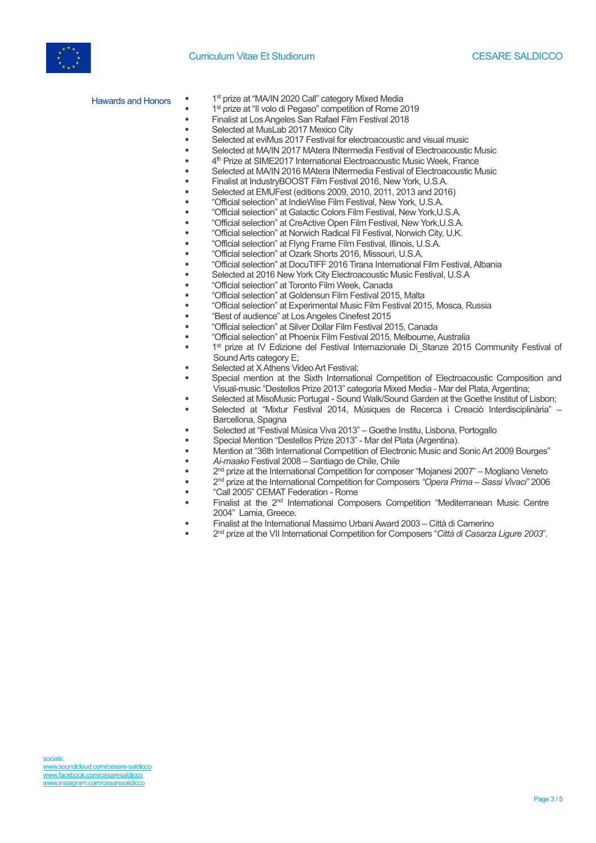



Hawards and Honors <sup>"</sup> <sup>1st</sup> prize at "MA/IN 2020 Call" category Mixed Media

- 1<sup>st</sup> prize at "Il volo di Pegaso" competition of Rome 2019
- § Finalist at Los Angeles San Rafael Film Festival 2018
- Selected at MusLab 2017 Mexico City
- Selected at eviMus 2017 Festival for electroacoustic and visual music
- § Selected at MA/IN 2017 MAtera INtermedia Festival of Electroacoustic Music
- 4<sup>th</sup> Prize at SIME2017 International Electroacoustic Music Week, France
- § Selected at MA/IN 2016 MAtera INtermedia Festival of Electroacoustic Music
- § Finalist at IndustryBOOST Film Festival 2016, New York, U.S.A.
- § Selected at EMUFest (editions 2009, 2010, 2011, 2013 and 2016)
- § "Official selection" at IndieWise Film Festival, New York, U.S.A.
- § "Official selection" at Galactic Colors Film Festival, New York,U.S.A.
- § "Official selection" at CreActive Open Film Festival, New York,U.S.A.
- § "Official selection" at Norwich Radical Fil Festival, Norwich City, U.K.
- § "Official selection" at Flyng Frame Film Festival, Illinois, U.S.A.
- § "Official selection" at Ozark Shorts 2016, Missouri, U.S.A.
- § "Official selection" at DocuTIFF 2016 Tirana International Film Festival, Albania
- § Selected at 2016 New York City Electroacoustic Music Festival, U.S.A
	- § "Official selection" at Toronto Film Week, Canada
	- § "Official selection" at Goldensun Film Festival 2015, Malta
	- § "Official selection" at Experimental Music Film Festival 2015, Mosca, Russia
	- § "Best of audience" at Los Angeles Cinefest 2015
	- § "Official selection" at Silver Dollar Film Festival 2015, Canada
- § "Official selection" at Phoenix Film Festival 2015, Melbourne, Australia
- 1<sup>st</sup> prize at IV Edizione del Festival Internazionale Di Stanze 2015 Community Festival of Sound Arts category E;
- Selected at X Athens Video Art Festival;
- Special mention at the Sixth International Competition of Electroacoustic Composition and Visual-music "Destellos Prize 2013" categoria Mixed Media - Mar del Plata, Argentina;
- § Selected at MisoMusic Portugal Sound Walk/Sound Garden at the Goethe Institut of Lisbon;
- § Selected at "Mixtur Festival 2014, Mùsiques de Recerca i Creaciò Interdisciplinària" Barcellona, Spagna
- § Selected at "Festival Mùsica Viva 2013" Goethe Institu, Lisbona, Portogallo
- § Special Mention "Destellos Prize 2013" Mar del Plata (Argentina).
- § Mention at "36th International Competition of Electronic Music and Sonic Art 2009 Bourges"
	- § *Ai-maako* Festival 2008 Santiago de Chile, Chile
- § 2nd prize at the International Competition for composer "Mojanesi 2007" Mogliano Veneto
- § 2nd prize at the International Competition for Composers *"Opera Prima – Sassi Vivaci"* 2006
- § "Call 2005" CEMAT Federation Rome
- Finalist at the 2<sup>nd</sup> International Composers Competition "Mediterranean Music Centre 2004" Lamia, Greece.
- § Finalist at the International Massimo Urbani Award 2003 Città di Camerino
- § 2nd prize at the VII International Competition for Composers "*Città di Casarza Ligure 2003*".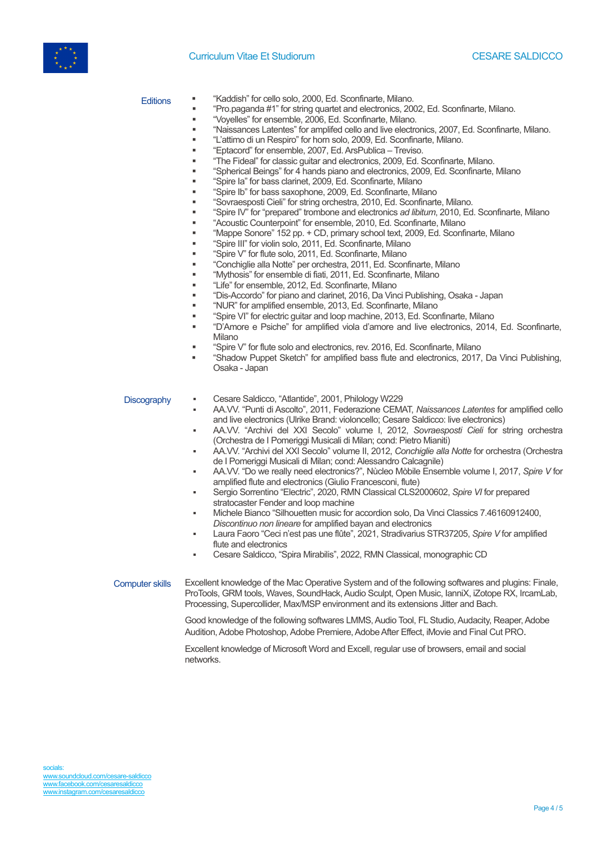### Curriculum Vitae Et Studiorum CESARE SALDICCO



- Editions <sup>•</sup> "Kaddish" for cello solo, 2000, Ed. Sconfinarte, Milano.
	- § "Pro.paganda #1" for string quartet and electronics, 2002, Ed. Sconfinarte, Milano.
	- § "Voyelles" for ensemble, 2006, Ed. Sconfinarte, Milano.
	- § "Naissances Latentes" for amplifed cello and live electronics, 2007, Ed. Sconfinarte, Milano.
	- § "L'attimo di un Respiro" for horn solo, 2009, Ed. Sconfinarte, Milano.
		- § "Eptacord" for ensemble, 2007, Ed. ArsPublica Treviso.
		- § "The Fideal" for classic guitar and electronics, 2009, Ed. Sconfinarte, Milano.
	- § "Spherical Beings" for 4 hands piano and electronics, 2009, Ed. Sconfinarte, Milano
		- § "Spire Ia" for bass clarinet, 2009, Ed. Sconfinarte, Milano
		- § "Spire Ib" for bass saxophone, 2009, Ed. Sconfinarte, Milano
		- § "Sovraesposti Cieli" for string orchestra, 2010, Ed. Sconfinarte, Milano.
	- § "Spire IV" for "prepared" trombone and electronics *ad libitum*, 2010, Ed. Sconfinarte, Milano
	- § "Acoustic Counterpoint" for ensemble, 2010, Ed. Sconfinarte, Milano
	- § "Mappe Sonore" 152 pp. + CD, primary school text, 2009, Ed. Sconfinarte, Milano
	- § "Spire III" for violin solo, 2011, Ed. Sconfinarte, Milano
	- § "Spire V" for flute solo, 2011, Ed. Sconfinarte, Milano
	- § "Conchiglie alla Notte" per orchestra, 2011, Ed. Sconfinarte, Milano
	- § "Mythosis" for ensemble di fiati, 2011, Ed. Sconfinarte, Milano
	- § "Life" for ensemble, 2012, Ed. Sconfinarte, Milano
	- § "Dis-Accordo" for piano and clarinet, 2016, Da Vinci Publishing, Osaka Japan
	- § "NUR" for amplified ensemble, 2013, Ed. Sconfinarte, Milano
	- § "Spire VI" for electric guitar and loop machine, 2013, Ed. Sconfinarte, Milano
	- § "D'Amore e Psiche" for amplified viola d'amore and live electronics, 2014, Ed. Sconfinarte, Milano
	- § "Spire V" for flute solo and electronics, rev. 2016, Ed. Sconfinarte, Milano
	- § "Shadow Puppet Sketch" for amplified bass flute and electronics, 2017, Da Vinci Publishing, Osaka - Japan

- Discography **•** Cesare Saldicco, "Atlantide", 2001, Philology W229
	- AA.VV. "Punti di Ascolto", 2011, Federazione CEMAT, *Naissances Latentes* for amplified cello and live electronics (Ulrike Brand: violoncello; Cesare Saldicco: live electronics)
	- AA.VV. "Archivi del XXI Secolo" volume I, 2012, *Sovraesposti Cieli* for string orchestra (Orchestra de I Pomeriggi Musicali di Milan; cond: Pietro Mianiti)
	- AA.VV. "Archivi del XXI Secolo" volume II, 2012, *Conchiglie alla Notte* for orchestra (Orchestra de I Pomeriggi Musicali di Milan; cond: Alessandro Calcagnile)
	- AA.VV. "Do we really need electronics?", Nùcleo Mòbile Ensemble volume I, 2017, *Spire V* for amplified flute and electronics (Giulio Francesconi, flute)
	- Sergio Sorrentino "Electric", 2020, RMN Classical CLS2000602, *Spire VI* for prepared stratocaster Fender and loop machine
	- Michele Bianco "Silhouetten music for accordion solo, Da Vinci Classics 7.46160912400, *Discontinuo non lineare* for amplified bayan and electronics
	- Laura Faoro "Ceci n'est pas une flûte", 2021, Stradivarius STR37205, *Spire V* for amplified flute and electronics
	- Cesare Saldicco, "Spira Mirabilis", 2022, RMN Classical, monographic CD

Computer skills Excellent knowledge of the Mac Operative System and of the following softwares and plugins: Finale, ProTools, GRM tools, Waves, SoundHack, Audio Sculpt, Open Music, IanniX, iZotope RX, IrcamLab, Processing, Supercollider, Max/MSP environment and its extensions Jitter and Bach.

> Good knowledge of the following softwares LMMS, Audio Tool, FL Studio, Audacity, Reaper, Adobe Audition, Adobe Photoshop, Adobe Premiere, Adobe After Effect, iMovie and Final Cut PRO.

Excellent knowledge of Microsoft Word and Excell, regular use of browsers, email and social networks.